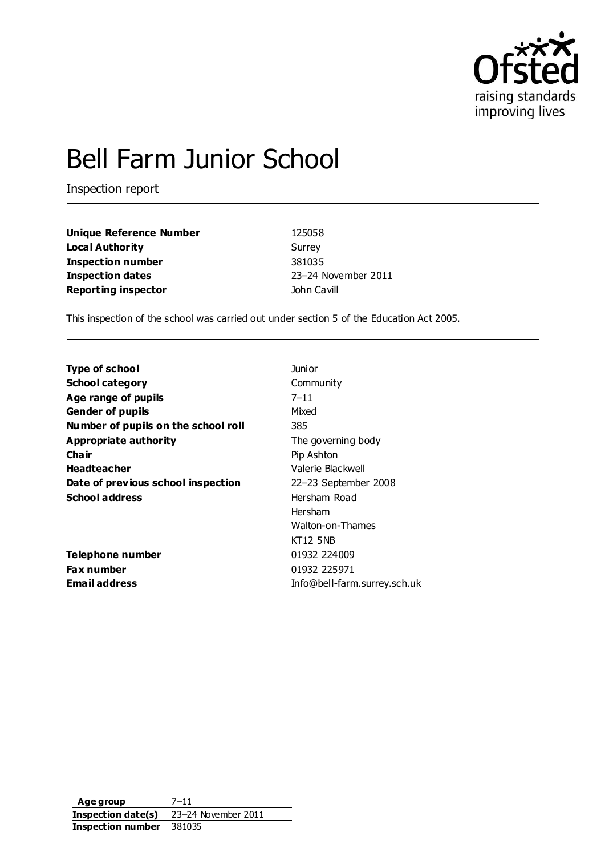

# Bell Farm Junior School

Inspection report

**Unique Reference Number** 125058 **Local Authority** Surrey **Inspection number** 381035 **Inspection dates** 23–24 November 2011 **Reporting inspector Cavill Reporting inspector John Cavill** 

This inspection of the school was carried out under section 5 of the Education Act 2005.

| <b>Type of school</b>               | Junior                       |
|-------------------------------------|------------------------------|
| <b>School category</b>              | Community                    |
| Age range of pupils                 | $7 - 11$                     |
| <b>Gender of pupils</b>             | Mixed                        |
| Number of pupils on the school roll | 385                          |
| Appropriate authority               | The governing body           |
| Cha ir                              | Pip Ashton                   |
| <b>Headteacher</b>                  | Valerie Blackwell            |
| Date of previous school inspection  | 22-23 September 2008         |
| <b>School address</b>               | Hersham Road                 |
|                                     | Hersham                      |
|                                     | Walton-on-Thames             |
|                                     | <b>KT12 5NB</b>              |
| Telephone number                    | 01932 224009                 |
| Fax number                          | 01932 225971                 |
| <b>Email address</b>                | Info@bell-farm.surrey.sch.uk |

**Age group** 7–11 **Inspection date(s)** 23–24 November 2011 **Inspection number** 381035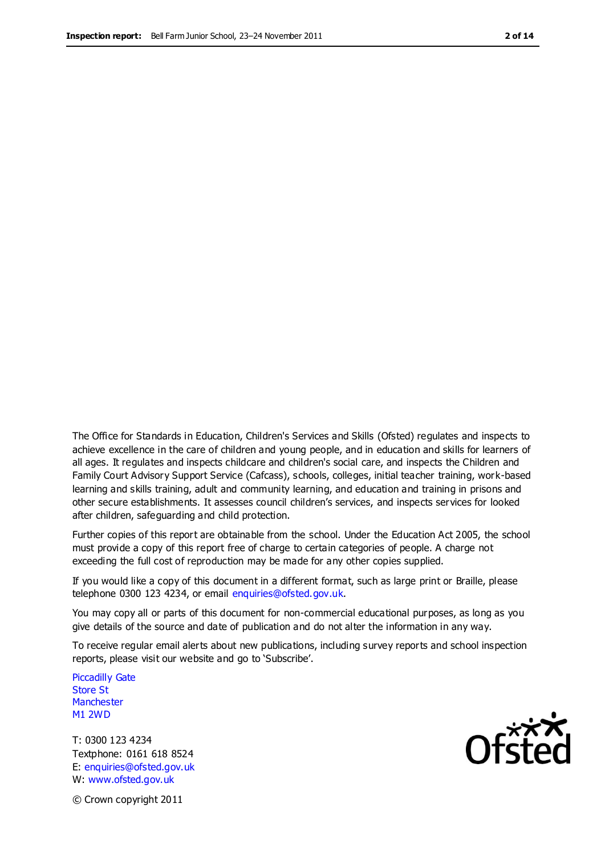The Office for Standards in Education, Children's Services and Skills (Ofsted) regulates and inspects to achieve excellence in the care of children and young people, and in education and skills for learners of all ages. It regulates and inspects childcare and children's social care, and inspects the Children and Family Court Advisory Support Service (Cafcass), schools, colleges, initial teacher training, work-based learning and skills training, adult and community learning, and education and training in prisons and other secure establishments. It assesses council children's services, and inspects services for looked after children, safeguarding and child protection.

Further copies of this report are obtainable from the school. Under the Education Act 2005, the school must provide a copy of this report free of charge to certain categories of people. A charge not exceeding the full cost of reproduction may be made for any other copies supplied.

If you would like a copy of this document in a different format, such as large print or Braille, please telephone 0300 123 4234, or email enquiries@ofsted.gov.uk.

You may copy all or parts of this document for non-commercial educational purposes, as long as you give details of the source and date of publication and do not alter the information in any way.

To receive regular email alerts about new publications, including survey reports and school inspection reports, please visit our website and go to 'Subscribe'.

Piccadilly Gate Store St **Manchester** M1 2WD

T: 0300 123 4234 Textphone: 0161 618 8524 E: enquiries@ofsted.gov.uk W: www.ofsted.gov.uk

**Ofsted** 

© Crown copyright 2011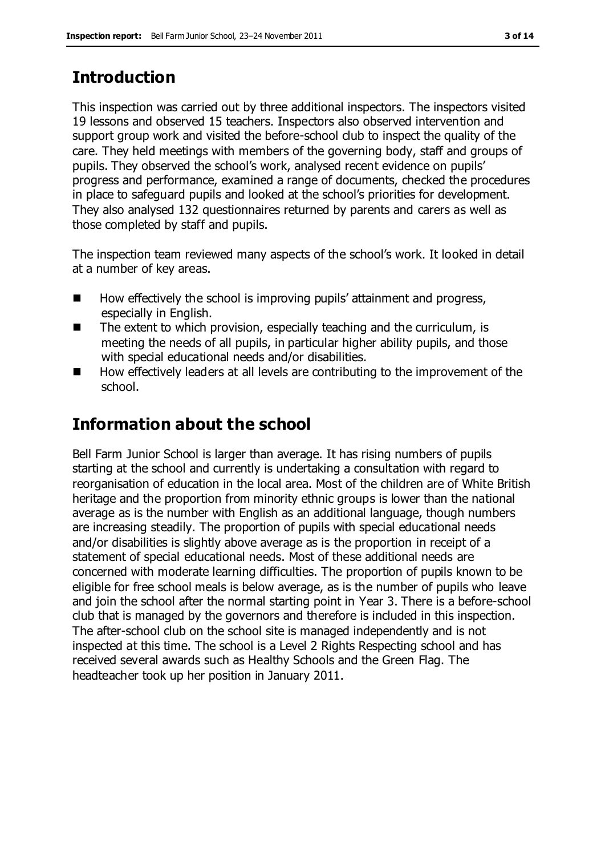# **Introduction**

This inspection was carried out by three additional inspectors. The inspectors visited 19 lessons and observed 15 teachers. Inspectors also observed intervention and support group work and visited the before-school club to inspect the quality of the care. They held meetings with members of the governing body, staff and groups of pupils. They observed the school's work, analysed recent evidence on pupils' progress and performance, examined a range of documents, checked the procedures in place to safeguard pupils and looked at the school's priorities for development. They also analysed 132 questionnaires returned by parents and carers as well as those completed by staff and pupils.

The inspection team reviewed many aspects of the school's work. It looked in detail at a number of key areas.

- $\blacksquare$  How effectively the school is improving pupils' attainment and progress, especially in English.
- The extent to which provision, especially teaching and the curriculum, is meeting the needs of all pupils, in particular higher ability pupils, and those with special educational needs and/or disabilities.
- $\blacksquare$  How effectively leaders at all levels are contributing to the improvement of the school.

# **Information about the school**

Bell Farm Junior School is larger than average. It has rising numbers of pupils starting at the school and currently is undertaking a consultation with regard to reorganisation of education in the local area. Most of the children are of White British heritage and the proportion from minority ethnic groups is lower than the national average as is the number with English as an additional language, though numbers are increasing steadily. The proportion of pupils with special educational needs and/or disabilities is slightly above average as is the proportion in receipt of a statement of special educational needs. Most of these additional needs are concerned with moderate learning difficulties. The proportion of pupils known to be eligible for free school meals is below average, as is the number of pupils who leave and join the school after the normal starting point in Year 3. There is a before-school club that is managed by the governors and therefore is included in this inspection. The after-school club on the school site is managed independently and is not inspected at this time. The school is a Level 2 Rights Respecting school and has received several awards such as Healthy Schools and the Green Flag. The headteacher took up her position in January 2011.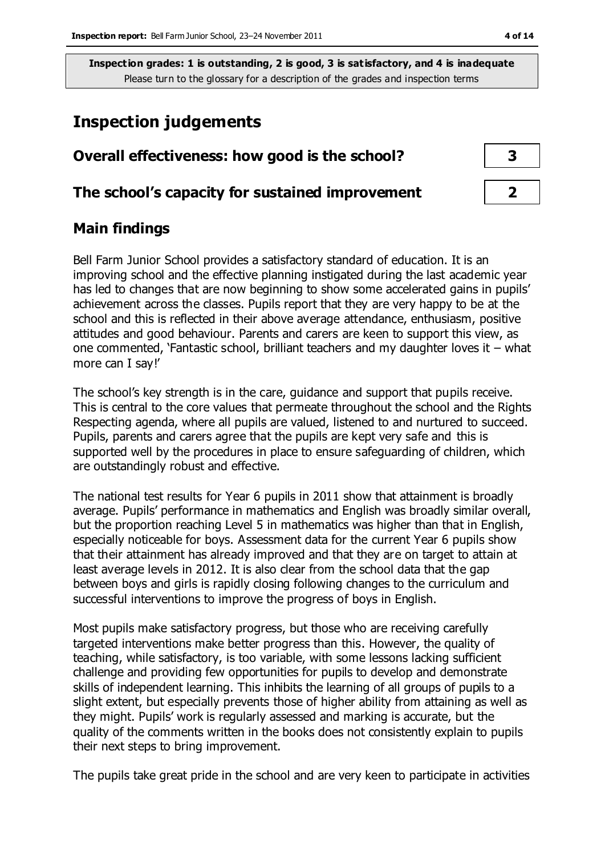# **Inspection judgements**

| Overall effectiveness: how good is the school?  |  |
|-------------------------------------------------|--|
| The school's capacity for sustained improvement |  |

# **Main findings**

Bell Farm Junior School provides a satisfactory standard of education. It is an improving school and the effective planning instigated during the last academic year has led to changes that are now beginning to show some accelerated gains in pupils' achievement across the classes. Pupils report that they are very happy to be at the school and this is reflected in their above average attendance, enthusiasm, positive attitudes and good behaviour. Parents and carers are keen to support this view, as one commented, 'Fantastic school, brilliant teachers and my daughter loves it – what more can I say!'

The school's key strength is in the care, guidance and support that pupils receive. This is central to the core values that permeate throughout the school and the Rights Respecting agenda, where all pupils are valued, listened to and nurtured to succeed. Pupils, parents and carers agree that the pupils are kept very safe and this is supported well by the procedures in place to ensure safeguarding of children, which are outstandingly robust and effective.

The national test results for Year 6 pupils in 2011 show that attainment is broadly average. Pupils' performance in mathematics and English was broadly similar overall, but the proportion reaching Level 5 in mathematics was higher than that in English, especially noticeable for boys. Assessment data for the current Year 6 pupils show that their attainment has already improved and that they are on target to attain at least average levels in 2012. It is also clear from the school data that the gap between boys and girls is rapidly closing following changes to the curriculum and successful interventions to improve the progress of boys in English.

Most pupils make satisfactory progress, but those who are receiving carefully targeted interventions make better progress than this. However, the quality of teaching, while satisfactory, is too variable, with some lessons lacking sufficient challenge and providing few opportunities for pupils to develop and demonstrate skills of independent learning. This inhibits the learning of all groups of pupils to a slight extent, but especially prevents those of higher ability from attaining as well as they might. Pupils' work is regularly assessed and marking is accurate, but the quality of the comments written in the books does not consistently explain to pupils their next steps to bring improvement.

The pupils take great pride in the school and are very keen to participate in activities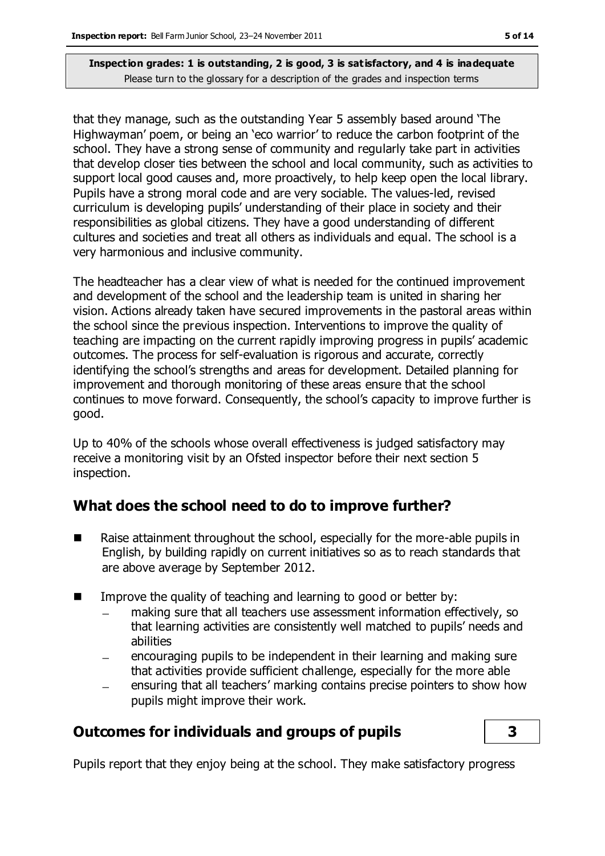that they manage, such as the outstanding Year 5 assembly based around 'The Highwayman' poem, or being an 'eco warrior' to reduce the carbon footprint of the school. They have a strong sense of community and regularly take part in activities that develop closer ties between the school and local community, such as activities to support local good causes and, more proactively, to help keep open the local library. Pupils have a strong moral code and are very sociable. The values-led, revised curriculum is developing pupils' understanding of their place in society and their responsibilities as global citizens. They have a good understanding of different cultures and societies and treat all others as individuals and equal. The school is a very harmonious and inclusive community.

The headteacher has a clear view of what is needed for the continued improvement and development of the school and the leadership team is united in sharing her vision. Actions already taken have secured improvements in the pastoral areas within the school since the previous inspection. Interventions to improve the quality of teaching are impacting on the current rapidly improving progress in pupils' academic outcomes. The process for self-evaluation is rigorous and accurate, correctly identifying the school's strengths and areas for development. Detailed planning for improvement and thorough monitoring of these areas ensure that the school continues to move forward. Consequently, the school's capacity to improve further is good.

Up to 40% of the schools whose overall effectiveness is judged satisfactory may receive a monitoring visit by an Ofsted inspector before their next section 5 inspection.

# **What does the school need to do to improve further?**

- Raise attainment throughout the school, especially for the more-able pupils in English, by building rapidly on current initiatives so as to reach standards that are above average by September 2012.
- **IMPROVE THE GUALARY IMAGE IN THE VALUATION** Improve the quality of teaching and learning to good or better by:
	- making sure that all teachers use assessment information effectively, so that learning activities are consistently well matched to pupils' needs and abilities
	- encouraging pupils to be independent in their learning and making sure that activities provide sufficient challenge, especially for the more able
	- ensuring that all teachers' marking contains precise pointers to show how  $\equiv$ pupils might improve their work.

# **Outcomes for individuals and groups of pupils 3**

Pupils report that they enjoy being at the school. They make satisfactory progress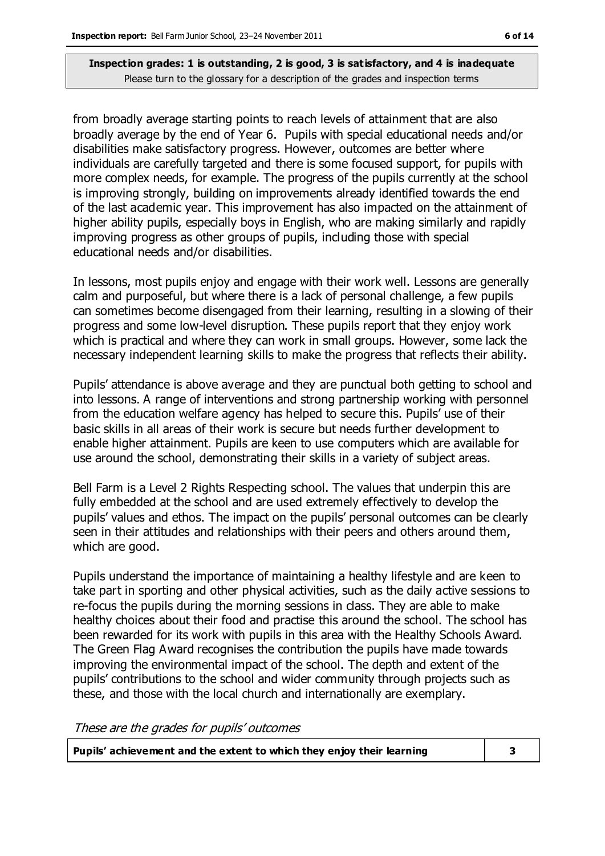from broadly average starting points to reach levels of attainment that are also broadly average by the end of Year 6. Pupils with special educational needs and/or disabilities make satisfactory progress. However, outcomes are better where individuals are carefully targeted and there is some focused support, for pupils with more complex needs, for example. The progress of the pupils currently at the school is improving strongly, building on improvements already identified towards the end of the last academic year. This improvement has also impacted on the attainment of higher ability pupils, especially boys in English, who are making similarly and rapidly improving progress as other groups of pupils, including those with special educational needs and/or disabilities.

In lessons, most pupils enjoy and engage with their work well. Lessons are generally calm and purposeful, but where there is a lack of personal challenge, a few pupils can sometimes become disengaged from their learning, resulting in a slowing of their progress and some low-level disruption. These pupils report that they enjoy work which is practical and where they can work in small groups. However, some lack the necessary independent learning skills to make the progress that reflects their ability.

Pupils' attendance is above average and they are punctual both getting to school and into lessons. A range of interventions and strong partnership working with personnel from the education welfare agency has helped to secure this. Pupils' use of their basic skills in all areas of their work is secure but needs further development to enable higher attainment. Pupils are keen to use computers which are available for use around the school, demonstrating their skills in a variety of subject areas.

Bell Farm is a Level 2 Rights Respecting school. The values that underpin this are fully embedded at the school and are used extremely effectively to develop the pupils' values and ethos. The impact on the pupils' personal outcomes can be clearly seen in their attitudes and relationships with their peers and others around them, which are good.

Pupils understand the importance of maintaining a healthy lifestyle and are keen to take part in sporting and other physical activities, such as the daily active sessions to re-focus the pupils during the morning sessions in class. They are able to make healthy choices about their food and practise this around the school. The school has been rewarded for its work with pupils in this area with the Healthy Schools Award. The Green Flag Award recognises the contribution the pupils have made towards improving the environmental impact of the school. The depth and extent of the pupils' contributions to the school and wider community through projects such as these, and those with the local church and internationally are exemplary.

These are the grades for pupils' outcomes

| Pupils' achievement and the extent to which they enjoy their learning |  |
|-----------------------------------------------------------------------|--|
|-----------------------------------------------------------------------|--|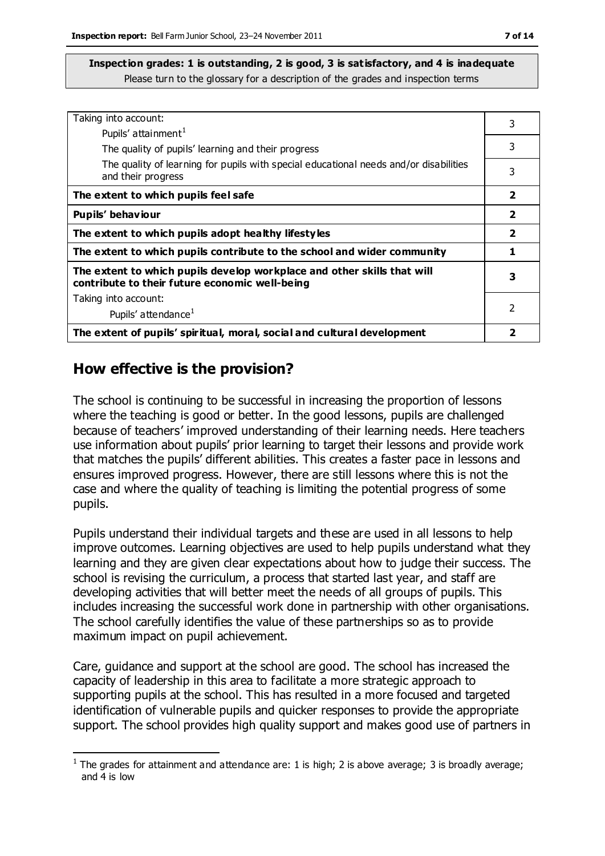| Taking into account:                                                                                                      | 3                       |
|---------------------------------------------------------------------------------------------------------------------------|-------------------------|
| Pupils' attainment <sup>1</sup>                                                                                           |                         |
| The quality of pupils' learning and their progress                                                                        | 3                       |
| The quality of learning for pupils with special educational needs and/or disabilities<br>and their progress               | 3                       |
| The extent to which pupils feel safe                                                                                      | $\overline{\mathbf{2}}$ |
| Pupils' behaviour                                                                                                         |                         |
| The extent to which pupils adopt healthy lifestyles                                                                       | $\overline{\mathbf{2}}$ |
| The extent to which pupils contribute to the school and wider community                                                   |                         |
| The extent to which pupils develop workplace and other skills that will<br>contribute to their future economic well-being | 3                       |
| Taking into account:                                                                                                      |                         |
| Pupils' attendance <sup>1</sup>                                                                                           | 2                       |
| The extent of pupils' spiritual, moral, social and cultural development                                                   |                         |

# **How effective is the provision?**

 $\overline{a}$ 

The school is continuing to be successful in increasing the proportion of lessons where the teaching is good or better. In the good lessons, pupils are challenged because of teachers' improved understanding of their learning needs. Here teachers use information about pupils' prior learning to target their lessons and provide work that matches the pupils' different abilities. This creates a faster pace in lessons and ensures improved progress. However, there are still lessons where this is not the case and where the quality of teaching is limiting the potential progress of some pupils.

Pupils understand their individual targets and these are used in all lessons to help improve outcomes. Learning objectives are used to help pupils understand what they learning and they are given clear expectations about how to judge their success. The school is revising the curriculum, a process that started last year, and staff are developing activities that will better meet the needs of all groups of pupils. This includes increasing the successful work done in partnership with other organisations. The school carefully identifies the value of these partnerships so as to provide maximum impact on pupil achievement.

Care, guidance and support at the school are good. The school has increased the capacity of leadership in this area to facilitate a more strategic approach to supporting pupils at the school. This has resulted in a more focused and targeted identification of vulnerable pupils and quicker responses to provide the appropriate support. The school provides high quality support and makes good use of partners in

<sup>&</sup>lt;sup>1</sup> The grades for attainment and attendance are: 1 is high; 2 is above average; 3 is broadly average; and 4 is low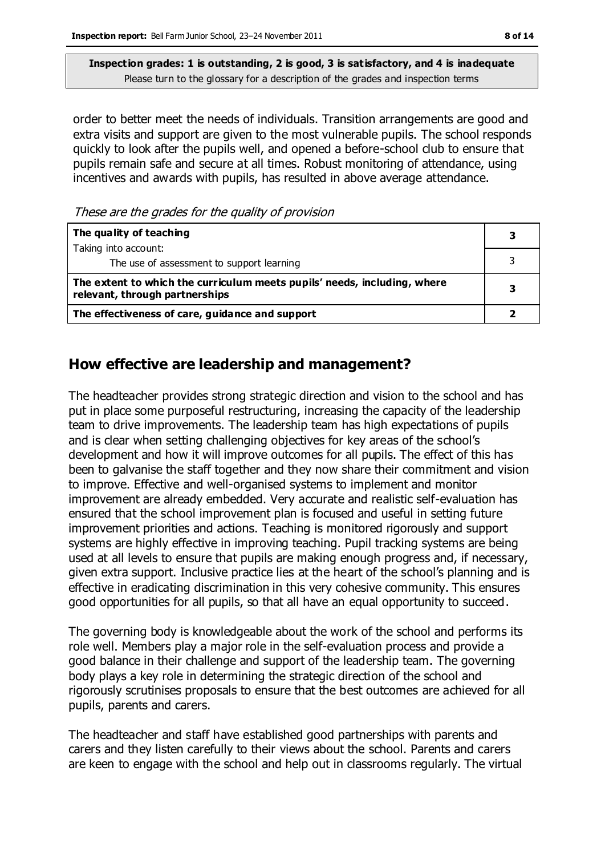order to better meet the needs of individuals. Transition arrangements are good and extra visits and support are given to the most vulnerable pupils. The school responds quickly to look after the pupils well, and opened a before-school club to ensure that pupils remain safe and secure at all times. Robust monitoring of attendance, using incentives and awards with pupils, has resulted in above average attendance.

These are the grades for the quality of provision

| The quality of teaching                                                                                    |  |
|------------------------------------------------------------------------------------------------------------|--|
| Taking into account:                                                                                       |  |
| The use of assessment to support learning                                                                  |  |
| The extent to which the curriculum meets pupils' needs, including, where<br>relevant, through partnerships |  |
| The effectiveness of care, guidance and support                                                            |  |

# **How effective are leadership and management?**

The headteacher provides strong strategic direction and vision to the school and has put in place some purposeful restructuring, increasing the capacity of the leadership team to drive improvements. The leadership team has high expectations of pupils and is clear when setting challenging objectives for key areas of the school's development and how it will improve outcomes for all pupils. The effect of this has been to galvanise the staff together and they now share their commitment and vision to improve. Effective and well-organised systems to implement and monitor improvement are already embedded. Very accurate and realistic self-evaluation has ensured that the school improvement plan is focused and useful in setting future improvement priorities and actions. Teaching is monitored rigorously and support systems are highly effective in improving teaching. Pupil tracking systems are being used at all levels to ensure that pupils are making enough progress and, if necessary, given extra support. Inclusive practice lies at the heart of the school's planning and is effective in eradicating discrimination in this very cohesive community. This ensures good opportunities for all pupils, so that all have an equal opportunity to succeed.

The governing body is knowledgeable about the work of the school and performs its role well. Members play a major role in the self-evaluation process and provide a good balance in their challenge and support of the leadership team. The governing body plays a key role in determining the strategic direction of the school and rigorously scrutinises proposals to ensure that the best outcomes are achieved for all pupils, parents and carers.

The headteacher and staff have established good partnerships with parents and carers and they listen carefully to their views about the school. Parents and carers are keen to engage with the school and help out in classrooms regularly. The virtual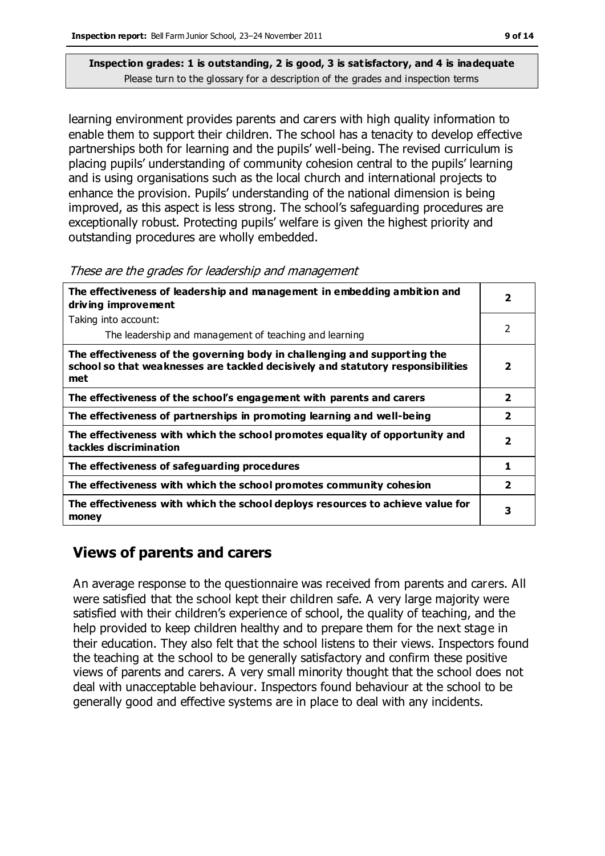learning environment provides parents and carers with high quality information to enable them to support their children. The school has a tenacity to develop effective partnerships both for learning and the pupils' well-being. The revised curriculum is placing pupils' understanding of community cohesion central to the pupils' learning and is using organisations such as the local church and international projects to enhance the provision. Pupils' understanding of the national dimension is being improved, as this aspect is less strong. The school's safeguarding procedures are exceptionally robust. Protecting pupils' welfare is given the highest priority and outstanding procedures are wholly embedded.

#### These are the grades for leadership and management

| The effectiveness of leadership and management in embedding ambition and<br>driving improvement                                                                     |                         |
|---------------------------------------------------------------------------------------------------------------------------------------------------------------------|-------------------------|
| Taking into account:                                                                                                                                                |                         |
| The leadership and management of teaching and learning                                                                                                              | 2                       |
| The effectiveness of the governing body in challenging and supporting the<br>school so that weaknesses are tackled decisively and statutory responsibilities<br>met | 2                       |
| The effectiveness of the school's engagement with parents and carers                                                                                                | $\mathbf{z}$            |
| The effectiveness of partnerships in promoting learning and well-being                                                                                              | $\overline{2}$          |
| The effectiveness with which the school promotes equality of opportunity and<br>tackles discrimination                                                              | $\overline{\mathbf{2}}$ |
| The effectiveness of safeguarding procedures                                                                                                                        | 1                       |
| The effectiveness with which the school promotes community cohesion                                                                                                 | $\overline{\mathbf{2}}$ |
| The effectiveness with which the school deploys resources to achieve value for<br>money                                                                             | 3                       |

# **Views of parents and carers**

An average response to the questionnaire was received from parents and carers. All were satisfied that the school kept their children safe. A very large majority were satisfied with their children's experience of school, the quality of teaching, and the help provided to keep children healthy and to prepare them for the next stage in their education. They also felt that the school listens to their views. Inspectors found the teaching at the school to be generally satisfactory and confirm these positive views of parents and carers. A very small minority thought that the school does not deal with unacceptable behaviour. Inspectors found behaviour at the school to be generally good and effective systems are in place to deal with any incidents.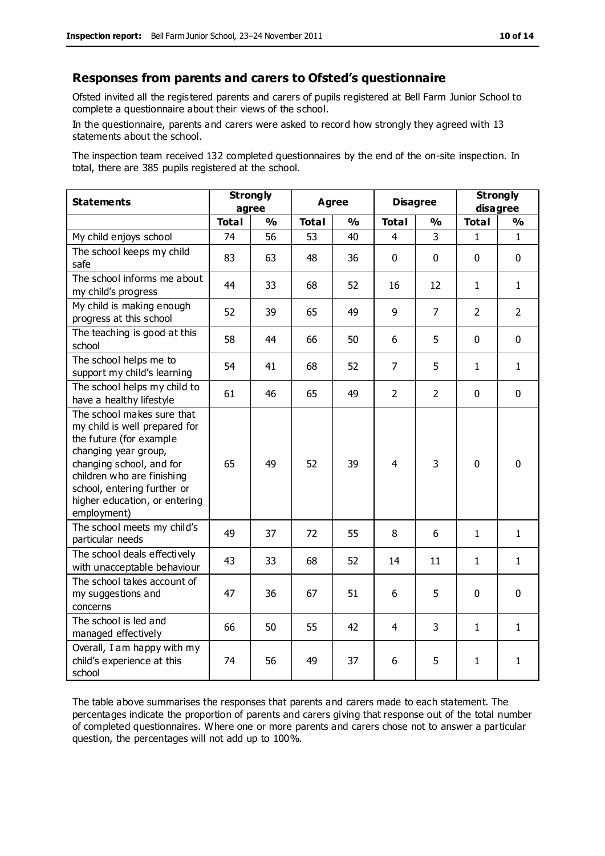#### **Responses from parents and carers to Ofsted's questionnaire**

Ofsted invited all the regis tered parents and carers of pupils registered at Bell Farm Junior School to complete a questionnaire about their views of the school.

In the questionnaire, parents and carers were asked to record how strongly they agreed with 13 statements about the school.

The inspection team received 132 completed questionnaires by the end of the on-site inspection. In total, there are 385 pupils registered at the school.

| <b>Statements</b>                                                                                                                                                                                                                                       | <b>Strongly</b><br>agree |               | <b>Agree</b> |               | <b>Disagree</b> |                | <b>Strongly</b><br>disagree |                |
|---------------------------------------------------------------------------------------------------------------------------------------------------------------------------------------------------------------------------------------------------------|--------------------------|---------------|--------------|---------------|-----------------|----------------|-----------------------------|----------------|
|                                                                                                                                                                                                                                                         | <b>Total</b>             | $\frac{0}{0}$ | <b>Total</b> | $\frac{0}{0}$ | <b>Total</b>    | $\frac{0}{0}$  | <b>Total</b>                | $\frac{1}{2}$  |
| My child enjoys school                                                                                                                                                                                                                                  | 74                       | 56            | 53           | 40            | 4               | 3              | 1.                          | $\mathbf{1}$   |
| The school keeps my child<br>safe                                                                                                                                                                                                                       | 83                       | 63            | 48           | 36            | $\mathbf 0$     | $\mathbf 0$    | $\mathbf{0}$                | $\mathbf 0$    |
| The school informs me about<br>my child's progress                                                                                                                                                                                                      | 44                       | 33            | 68           | 52            | 16              | 12             | $\mathbf{1}$                | $\mathbf{1}$   |
| My child is making enough<br>progress at this school                                                                                                                                                                                                    | 52                       | 39            | 65           | 49            | 9               | $\overline{7}$ | $\overline{2}$              | $\overline{2}$ |
| The teaching is good at this<br>school                                                                                                                                                                                                                  | 58                       | 44            | 66           | 50            | 6               | 5              | $\mathbf 0$                 | $\mathbf 0$    |
| The school helps me to<br>support my child's learning                                                                                                                                                                                                   | 54                       | 41            | 68           | 52            | 7               | 5              | $\mathbf{1}$                | $\mathbf{1}$   |
| The school helps my child to<br>have a healthy lifestyle                                                                                                                                                                                                | 61                       | 46            | 65           | 49            | $\overline{2}$  | $\overline{2}$ | $\mathbf 0$                 | $\mathbf 0$    |
| The school makes sure that<br>my child is well prepared for<br>the future (for example<br>changing year group,<br>changing school, and for<br>children who are finishing<br>school, entering further or<br>higher education, or entering<br>employment) | 65                       | 49            | 52           | 39            | $\overline{4}$  | 3              | $\mathbf 0$                 | $\mathbf 0$    |
| The school meets my child's<br>particular needs                                                                                                                                                                                                         | 49                       | 37            | 72           | 55            | 8               | 6              | $\mathbf{1}$                | $\mathbf{1}$   |
| The school deals effectively<br>with unacceptable behaviour                                                                                                                                                                                             | 43                       | 33            | 68           | 52            | 14              | 11             | 1                           | 1              |
| The school takes account of<br>my suggestions and<br>concerns                                                                                                                                                                                           | 47                       | 36            | 67           | 51            | 6               | 5              | $\mathbf 0$                 | $\mathbf 0$    |
| The school is led and<br>managed effectively                                                                                                                                                                                                            | 66                       | 50            | 55           | 42            | $\overline{4}$  | 3              | $\mathbf{1}$                | $\mathbf{1}$   |
| Overall, I am happy with my<br>child's experience at this<br>school                                                                                                                                                                                     | 74                       | 56            | 49           | 37            | 6               | 5              | $\mathbf{1}$                | $\mathbf{1}$   |

The table above summarises the responses that parents and carers made to each statement. The percentages indicate the proportion of parents and carers giving that response out of the total number of completed questionnaires. Where one or more parents and carers chose not to answer a particular question, the percentages will not add up to 100%.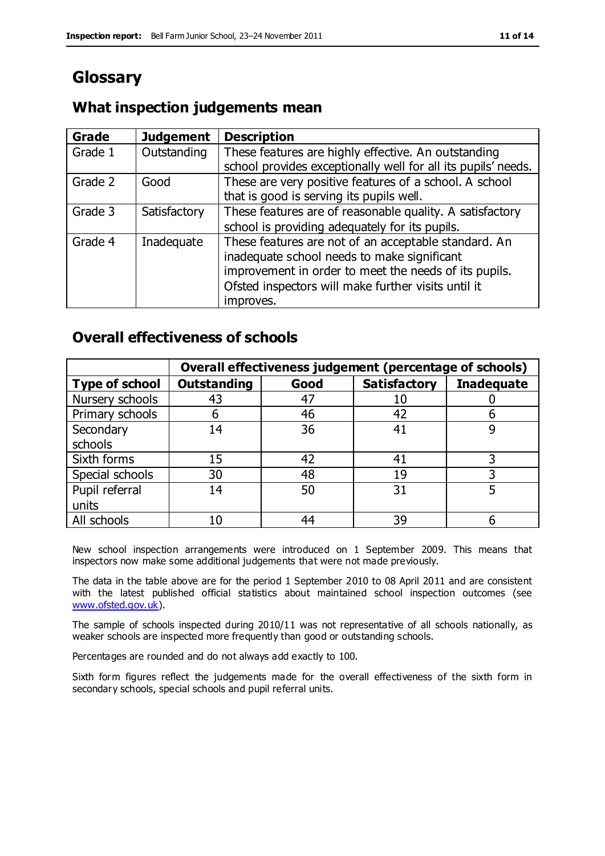# **Glossary**

# **What inspection judgements mean**

| Grade   | <b>Judgement</b> | <b>Description</b>                                                                                                   |
|---------|------------------|----------------------------------------------------------------------------------------------------------------------|
| Grade 1 | Outstanding      | These features are highly effective. An outstanding<br>school provides exceptionally well for all its pupils' needs. |
|         |                  |                                                                                                                      |
| Grade 2 | Good             | These are very positive features of a school. A school                                                               |
|         |                  | that is good is serving its pupils well.                                                                             |
| Grade 3 | Satisfactory     | These features are of reasonable quality. A satisfactory                                                             |
|         |                  | school is providing adequately for its pupils.                                                                       |
| Grade 4 | Inadequate       | These features are not of an acceptable standard. An                                                                 |
|         |                  | inadequate school needs to make significant                                                                          |
|         |                  | improvement in order to meet the needs of its pupils.                                                                |
|         |                  | Ofsted inspectors will make further visits until it                                                                  |
|         |                  | improves.                                                                                                            |

### **Overall effectiveness of schools**

|                       |                    |      | Overall effectiveness judgement (percentage of schools) |                   |
|-----------------------|--------------------|------|---------------------------------------------------------|-------------------|
| <b>Type of school</b> | <b>Outstanding</b> | Good | <b>Satisfactory</b>                                     | <b>Inadequate</b> |
| Nursery schools       | 43                 | 47   |                                                         |                   |
| Primary schools       | h                  | 46   | 42                                                      |                   |
| Secondary             | 14                 | 36   | 41                                                      |                   |
| schools               |                    |      |                                                         |                   |
| Sixth forms           | 15                 | 42   | 41                                                      | 3                 |
| Special schools       | 30                 | 48   | 19                                                      |                   |
| Pupil referral        | 14                 | 50   | 31                                                      |                   |
| units                 |                    |      |                                                         |                   |
| All schools           | 10                 | 44   | 39                                                      |                   |

New school inspection arrangements were introduced on 1 September 2009. This means that inspectors now make some additional judgements that were not made previously.

The data in the table above are for the period 1 September 2010 to 08 April 2011 and are consistent with the latest published official statistics about maintained school inspection outcomes (see [www.ofsted.gov.uk\)](http://www.ofsted.gov.uk/).

The sample of schools inspected during 2010/11 was not representative of all schools nationally, as weaker schools are inspected more frequently than good or outstanding schools.

Percentages are rounded and do not always add exactly to 100.

Sixth form figures reflect the judgements made for the overall effectiveness of the sixth form in secondary schools, special schools and pupil referral units.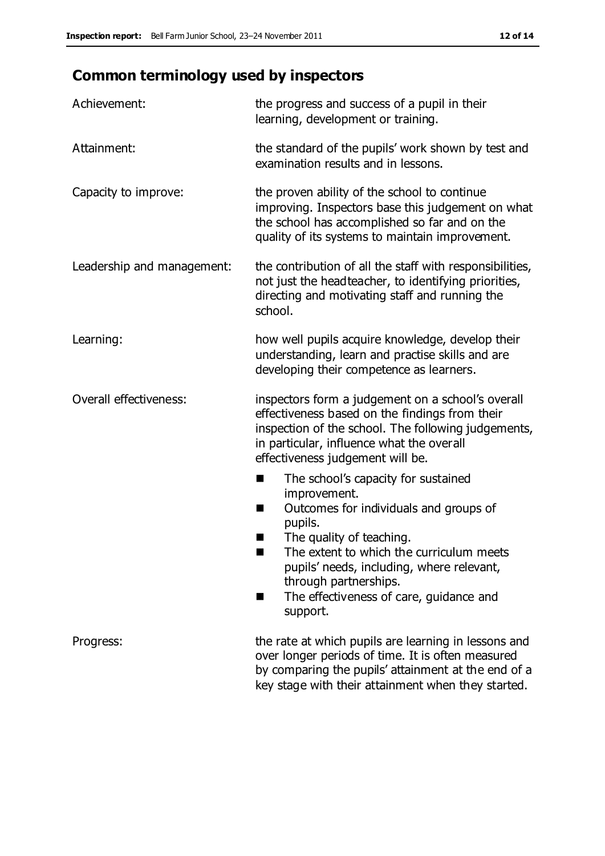# **Common terminology used by inspectors**

| Achievement:               | the progress and success of a pupil in their<br>learning, development or training.                                                                                                                                                                                                                                           |
|----------------------------|------------------------------------------------------------------------------------------------------------------------------------------------------------------------------------------------------------------------------------------------------------------------------------------------------------------------------|
| Attainment:                | the standard of the pupils' work shown by test and<br>examination results and in lessons.                                                                                                                                                                                                                                    |
| Capacity to improve:       | the proven ability of the school to continue<br>improving. Inspectors base this judgement on what<br>the school has accomplished so far and on the<br>quality of its systems to maintain improvement.                                                                                                                        |
| Leadership and management: | the contribution of all the staff with responsibilities,<br>not just the headteacher, to identifying priorities,<br>directing and motivating staff and running the<br>school.                                                                                                                                                |
| Learning:                  | how well pupils acquire knowledge, develop their<br>understanding, learn and practise skills and are<br>developing their competence as learners.                                                                                                                                                                             |
| Overall effectiveness:     | inspectors form a judgement on a school's overall<br>effectiveness based on the findings from their<br>inspection of the school. The following judgements,<br>in particular, influence what the overall<br>effectiveness judgement will be.                                                                                  |
|                            | The school's capacity for sustained<br>improvement.<br>Outcomes for individuals and groups of<br>H<br>pupils.<br>The quality of teaching.<br>×<br>The extent to which the curriculum meets<br>pupils' needs, including, where relevant,<br>through partnerships.<br>The effectiveness of care, guidance and<br>H<br>support. |
| Progress:                  | the rate at which pupils are learning in lessons and<br>over longer periods of time. It is often measured<br>by comparing the pupils' attainment at the end of a<br>key stage with their attainment when they started.                                                                                                       |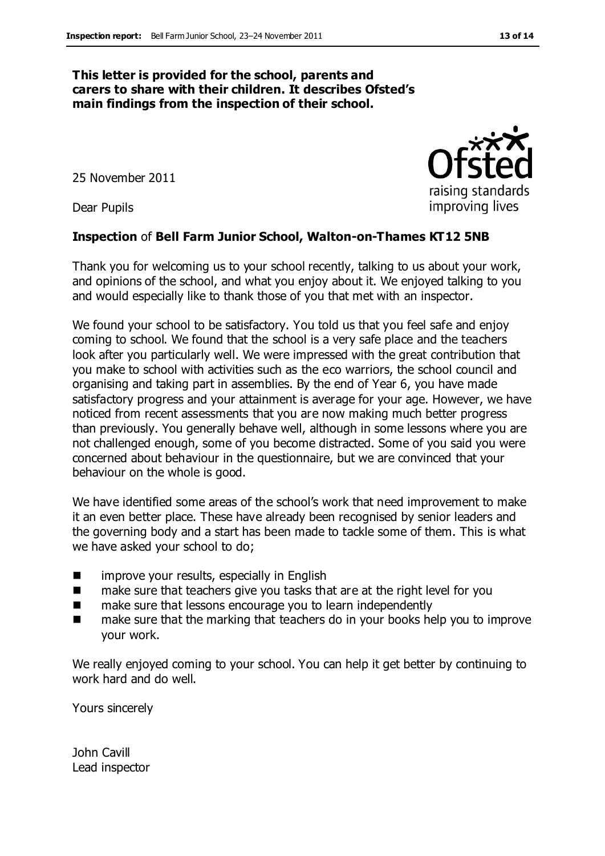#### **This letter is provided for the school, parents and carers to share with their children. It describes Ofsted's main findings from the inspection of their school.**

25 November 2011

Dear Pupils

#### **Inspection** of **Bell Farm Junior School, Walton-on-Thames KT12 5NB**

Thank you for welcoming us to your school recently, talking to us about your work, and opinions of the school, and what you enjoy about it. We enjoyed talking to you and would especially like to thank those of you that met with an inspector.

We found your school to be satisfactory. You told us that you feel safe and enjoy coming to school. We found that the school is a very safe place and the teachers look after you particularly well. We were impressed with the great contribution that you make to school with activities such as the eco warriors, the school council and organising and taking part in assemblies. By the end of Year 6, you have made satisfactory progress and your attainment is average for your age. However, we have noticed from recent assessments that you are now making much better progress than previously. You generally behave well, although in some lessons where you are not challenged enough, some of you become distracted. Some of you said you were concerned about behaviour in the questionnaire, but we are convinced that your behaviour on the whole is good.

We have identified some areas of the school's work that need improvement to make it an even better place. These have already been recognised by senior leaders and the governing body and a start has been made to tackle some of them. This is what we have asked your school to do;

- **EXECUTE:** improve your results, especially in English
- make sure that teachers give you tasks that are at the right level for you
- make sure that lessons encourage you to learn independently
- make sure that the marking that teachers do in your books help you to improve your work.

We really enjoyed coming to your school. You can help it get better by continuing to work hard and do well.

Yours sincerely

John Cavill Lead inspector